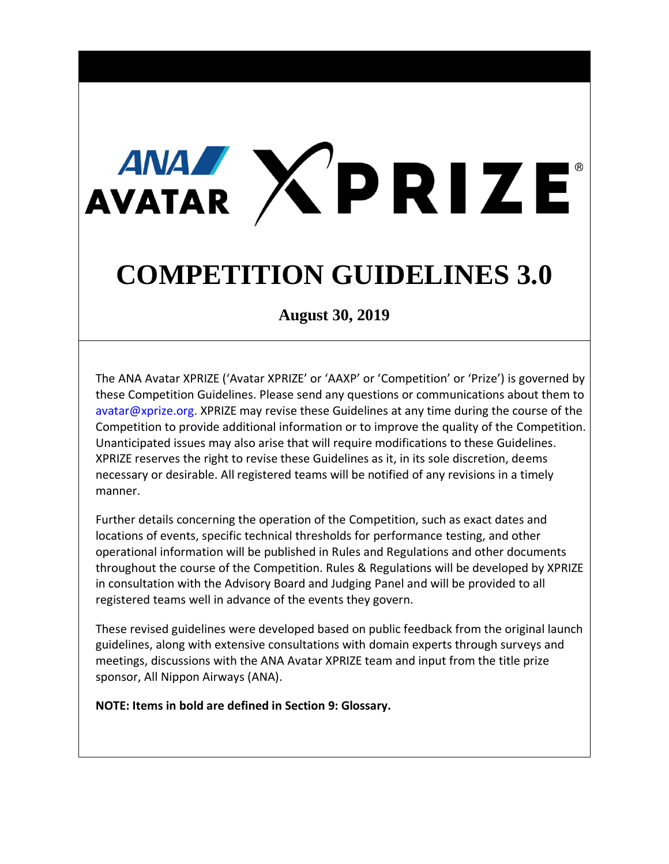# AVATAR XPRIZE

# **COMPETITION GUIDELINES 3.0**

**August 30, 2019**

The ANA Avatar XPRIZE ('Avatar XPRIZE' or 'AAXP' or 'Competition' or 'Prize') is governed by these Competition Guidelines. Please send any questions or communications about them to avatar@xprize.org. XPRIZE may revise these Guidelines at any time during the course of the Competition to provide additional information or to improve the quality of the Competition. Unanticipated issues may also arise that will require modifications to these Guidelines. XPRIZE reserves the right to revise these Guidelines as it, in its sole discretion, deems necessary or desirable. All registered teams will be notified of any revisions in a timely manner.

Further details concerning the operation of the Competition, such as exact dates and locations of events, specific technical thresholds for performance testing, and other operational information will be published in Rules and Regulations and other documents throughout the course of the Competition. Rules & Regulations will be developed by XPRIZE in consultation with the Advisory Board and Judging Panel and will be provided to all registered teams well in advance of the events they govern.

These revised guidelines were developed based on public feedback from the original launch guidelines, along with extensive consultations with domain experts through surveys and meetings, discussions with the ANA Avatar XPRIZE team and input from the title prize sponsor, All Nippon Airways (ANA).

**NOTE: Items in bold are defined in Section 9: Glossary.**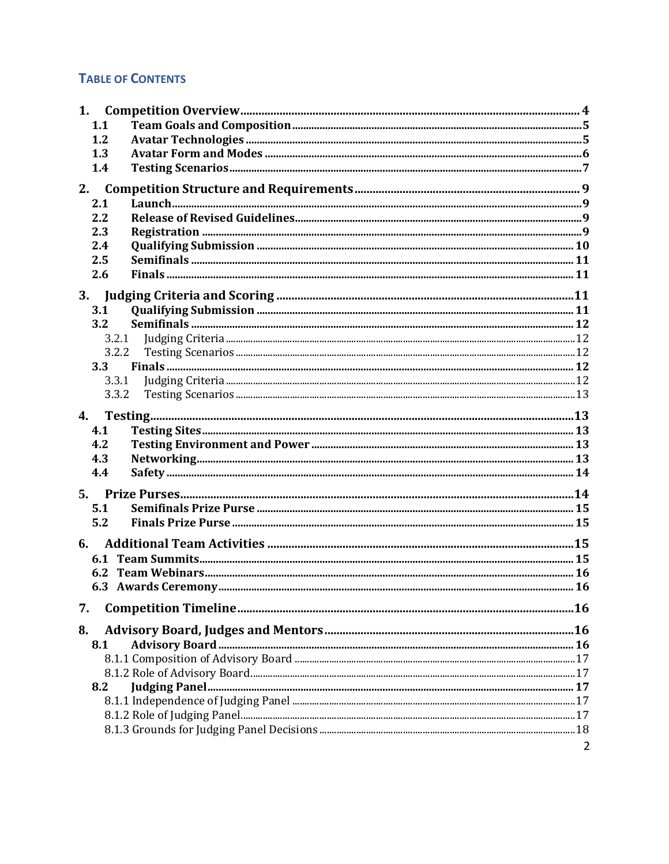#### **TABLE OF CONTENTS**

| 1.             |                |
|----------------|----------------|
| 1.1            |                |
| 1.2            |                |
| 1.3            |                |
| 1.4            |                |
| 2.             |                |
| 2.1            |                |
| 2.2            |                |
| 2.3            |                |
| 2.4            |                |
| 2.5            |                |
| 2.6            |                |
|                |                |
| 3.             |                |
| 3.1<br>3.2     |                |
|                |                |
| 3.2.1<br>3.2.2 |                |
| 3.3            |                |
| 3.3.1          |                |
| 3.3.2          |                |
|                |                |
| $\mathbf{4}$   |                |
| 4.1            |                |
| 4.2            |                |
| 4.3            |                |
| 4.4            |                |
| 5.             |                |
| 5.1            |                |
| 5.2            |                |
|                |                |
| 6.             |                |
|                |                |
|                |                |
|                |                |
| 7.             |                |
| 8.             |                |
| 8.1            |                |
|                |                |
|                |                |
| 8.2            |                |
|                |                |
|                |                |
|                |                |
|                | $\overline{2}$ |
|                |                |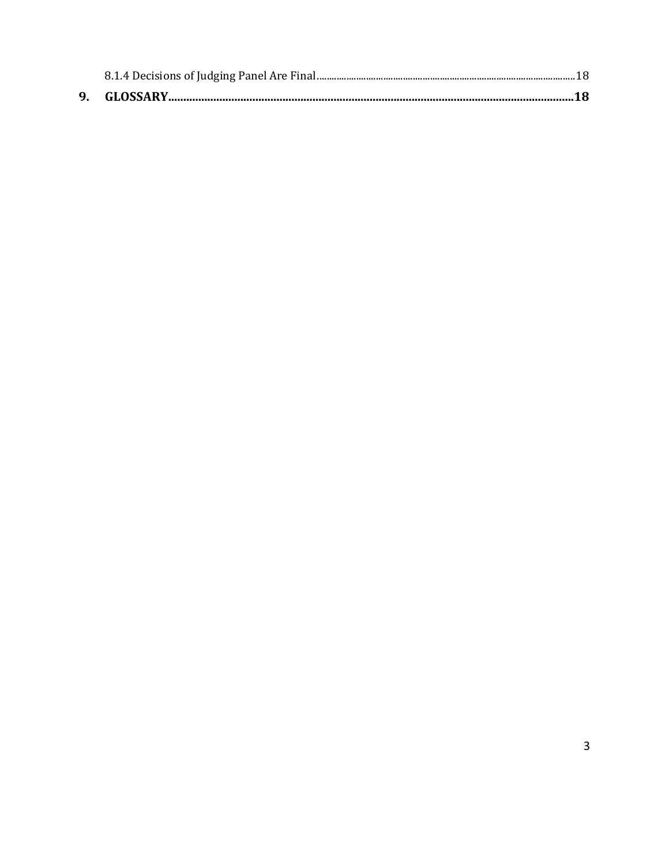| GLOSSARY |  |
|----------|--|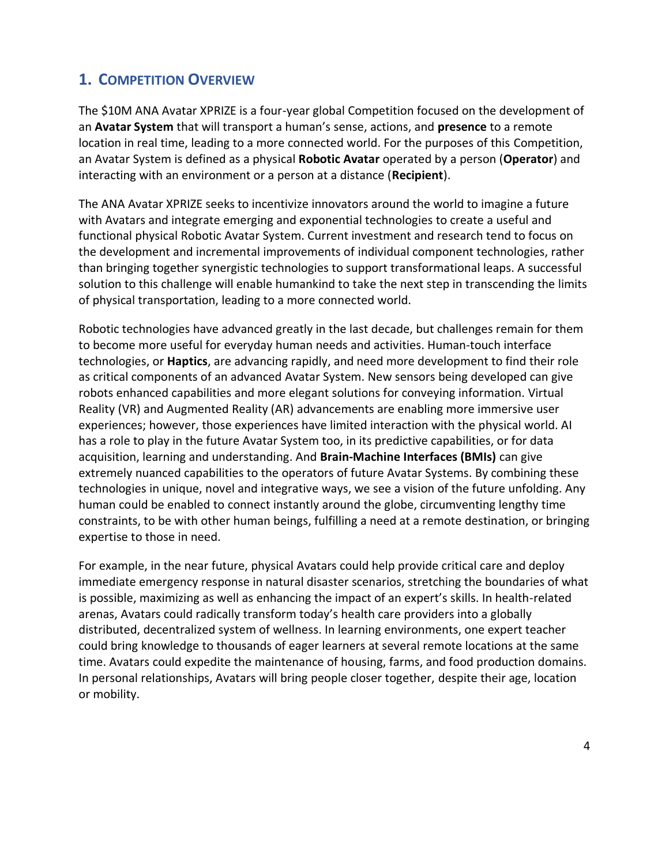### **1. COMPETITION OVERVIEW**

The \$10M ANA Avatar XPRIZE is a four-year global Competition focused on the development of an **Avatar System** that will transport a human's sense, actions, and **presence** to a remote location in real time, leading to a more connected world. For the purposes of this Competition, an Avatar System is defined as a physical **Robotic Avatar** operated by a person (**Operator**) and interacting with an environment or a person at a distance (**Recipient**).

The ANA Avatar XPRIZE seeks to incentivize innovators around the world to imagine a future with Avatars and integrate emerging and exponential technologies to create a useful and functional physical Robotic Avatar System. Current investment and research tend to focus on the development and incremental improvements of individual component technologies, rather than bringing together synergistic technologies to support transformational leaps. A successful solution to this challenge will enable humankind to take the next step in transcending the limits of physical transportation, leading to a more connected world.

Robotic technologies have advanced greatly in the last decade, but challenges remain for them to become more useful for everyday human needs and activities. Human-touch interface technologies, or **Haptics**, are advancing rapidly, and need more development to find their role as critical components of an advanced Avatar System. New sensors being developed can give robots enhanced capabilities and more elegant solutions for conveying information. Virtual Reality (VR) and Augmented Reality (AR) advancements are enabling more immersive user experiences; however, those experiences have limited interaction with the physical world. AI has a role to play in the future Avatar System too, in its predictive capabilities, or for data acquisition, learning and understanding. And **Brain-Machine Interfaces (BMIs)** can give extremely nuanced capabilities to the operators of future Avatar Systems. By combining these technologies in unique, novel and integrative ways, we see a vision of the future unfolding. Any human could be enabled to connect instantly around the globe, circumventing lengthy time constraints, to be with other human beings, fulfilling a need at a remote destination, or bringing expertise to those in need.

For example, in the near future, physical Avatars could help provide critical care and deploy immediate emergency response in natural disaster scenarios, stretching the boundaries of what is possible, maximizing as well as enhancing the impact of an expert's skills. In health-related arenas, Avatars could radically transform today's health care providers into a globally distributed, decentralized system of wellness. In learning environments, one expert teacher could bring knowledge to thousands of eager learners at several remote locations at the same time. Avatars could expedite the maintenance of housing, farms, and food production domains. In personal relationships, Avatars will bring people closer together, despite their age, location or mobility.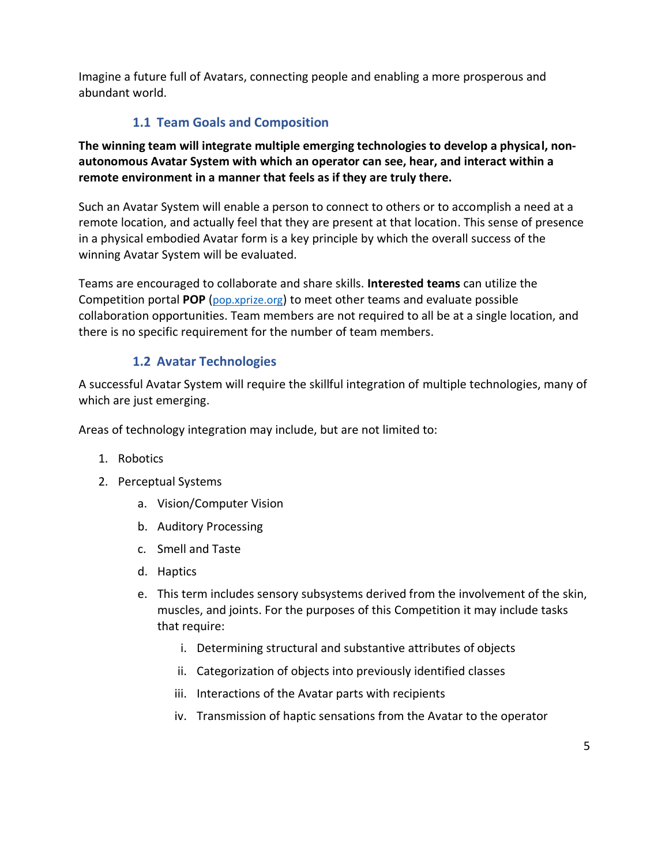Imagine a future full of Avatars, connecting people and enabling a more prosperous and abundant world.

#### **1.1 Team Goals and Composition**

**The winning team will integrate multiple emerging technologies to develop a physical, nonautonomous Avatar System with which an operator can see, hear, and interact within a remote environment in a manner that feels as if they are truly there.**

Such an Avatar System will enable a person to connect to others or to accomplish a need at a remote location, and actually feel that they are present at that location. This sense of presence in a physical embodied Avatar form is a key principle by which the overall success of the winning Avatar System will be evaluated.

Teams are encouraged to collaborate and share skills. **Interested teams** can utilize the Competition portal **POP** ([pop.xprize.org](https://ids.xprize.org/account/login?returnUrl=%2Fconnect%2Fauthorize%2Flogin%3Fclient_id%3DPOP-MVC%26redirect_uri%3Dhttps%253A%252F%252Fpop.xprize.org%252Fsignin-oidc%26response_type%3Did_token%2520token%26scope%3Dopenid%2520XPPOPAPI%2520email%2520profile%2520offline_access%26response_mode%3Dform_post%26nonce%3D636695121224726794.MTA1M2FkNzItMzI3YS00ZTc0LThhNDItNzMwNjdkODM1MjdlNTQzYmU5MDgtMWJhZC00YTRiLTlkMzItZDZkNGE5ZWY5NzVj%26state%3DCfDJ8InLv99lkH9Br91grvEtizmR57CHNcqi6KnQOaQioiBnNZhzVgrRv1vio_iigddWRoy3v9zt5ppFZiiPvT4FUc5jn6ENc3UPyDWJnqD0u1JCScy6t0OgiEMC1xe7Xc4ZSffGsK_URryB3eNqYQSASkReaAn9p4aK3dQO6k7Ehi9SdtEnaWcqJw_n3OHuVVIqX5p1BZFkL_wV7c43LgDFeR3bce4csyy3nb2SB2zjFlJAtqRSMTO0_fiaVbHzZaV5Z8-LTf9VPlhMRn5ujuIKyAnWpND0WpI-9WRRBtg-RxDCz3WQv6Rdc6Bgy27oPjzSqA%26x-client-SKU%3DID_NET%26x-client-ver%3D2.1.4.0)) to meet other teams and evaluate possible collaboration opportunities. Team members are not required to all be at a single location, and there is no specific requirement for the number of team members.

#### **1.2 Avatar Technologies**

A successful Avatar System will require the skillful integration of multiple technologies, many of which are just emerging.

Areas of technology integration may include, but are not limited to:

- 1. Robotics
- 2. Perceptual Systems
	- a. Vision/Computer Vision
	- b. Auditory Processing
	- c. Smell and Taste
	- d. Haptics
	- e. This term includes sensory subsystems derived from the involvement of the skin, muscles, and joints. For the purposes of this Competition it may include tasks that require:
		- i. Determining structural and substantive attributes of objects
		- ii. Categorization of objects into previously identified classes
		- iii. Interactions of the Avatar parts with recipients
		- iv. Transmission of haptic sensations from the Avatar to the operator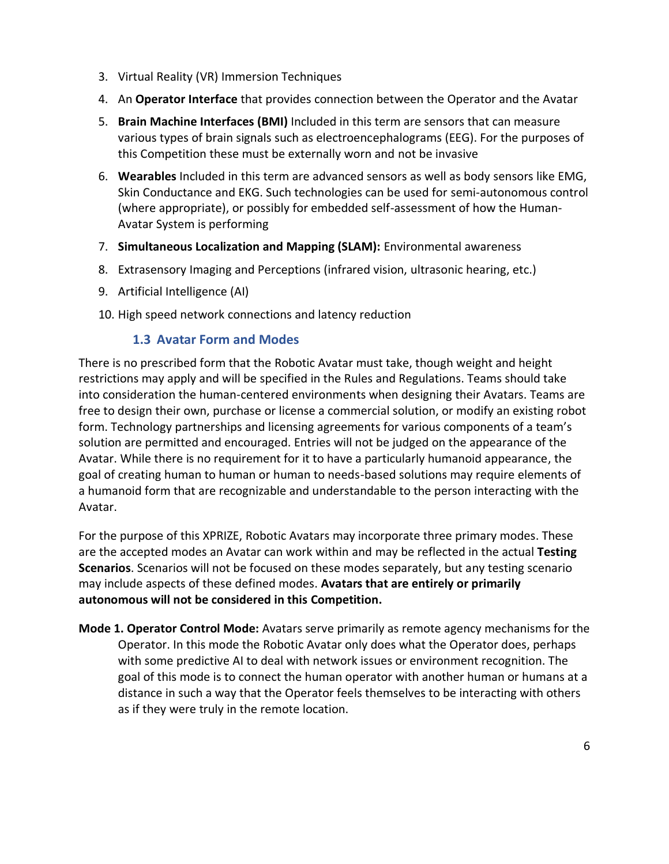- 3. Virtual Reality (VR) Immersion Techniques
- 4. An **Operator Interface** that provides connection between the Operator and the Avatar
- 5. **Brain Machine Interfaces (BMI)** Included in this term are sensors that can measure various types of brain signals such as electroencephalograms (EEG). For the purposes of this Competition these must be externally worn and not be invasive
- 6. **Wearables** Included in this term are advanced sensors as well as body sensors like EMG, Skin Conductance and EKG. Such technologies can be used for semi-autonomous control (where appropriate), or possibly for embedded self-assessment of how the Human-Avatar System is performing
- 7. **Simultaneous Localization and Mapping (SLAM):** Environmental awareness
- 8. Extrasensory Imaging and Perceptions (infrared vision, ultrasonic hearing, etc.)
- 9. Artificial Intelligence (AI)
- 10. High speed network connections and latency reduction

#### **1.3 Avatar Form and Modes**

There is no prescribed form that the Robotic Avatar must take, though weight and height restrictions may apply and will be specified in the Rules and Regulations. Teams should take into consideration the human-centered environments when designing their Avatars. Teams are free to design their own, purchase or license a commercial solution, or modify an existing robot form. Technology partnerships and licensing agreements for various components of a team's solution are permitted and encouraged. Entries will not be judged on the appearance of the Avatar. While there is no requirement for it to have a particularly humanoid appearance, the goal of creating human to human or human to needs-based solutions may require elements of a humanoid form that are recognizable and understandable to the person interacting with the Avatar.

For the purpose of this XPRIZE, Robotic Avatars may incorporate three primary modes. These are the accepted modes an Avatar can work within and may be reflected in the actual **Testing Scenarios**. Scenarios will not be focused on these modes separately, but any testing scenario may include aspects of these defined modes. **Avatars that are entirely or primarily autonomous will not be considered in this Competition.** 

**Mode 1. Operator Control Mode:** Avatars serve primarily as remote agency mechanisms for the Operator. In this mode the Robotic Avatar only does what the Operator does, perhaps with some predictive AI to deal with network issues or environment recognition. The goal of this mode is to connect the human operator with another human or humans at a distance in such a way that the Operator feels themselves to be interacting with others as if they were truly in the remote location.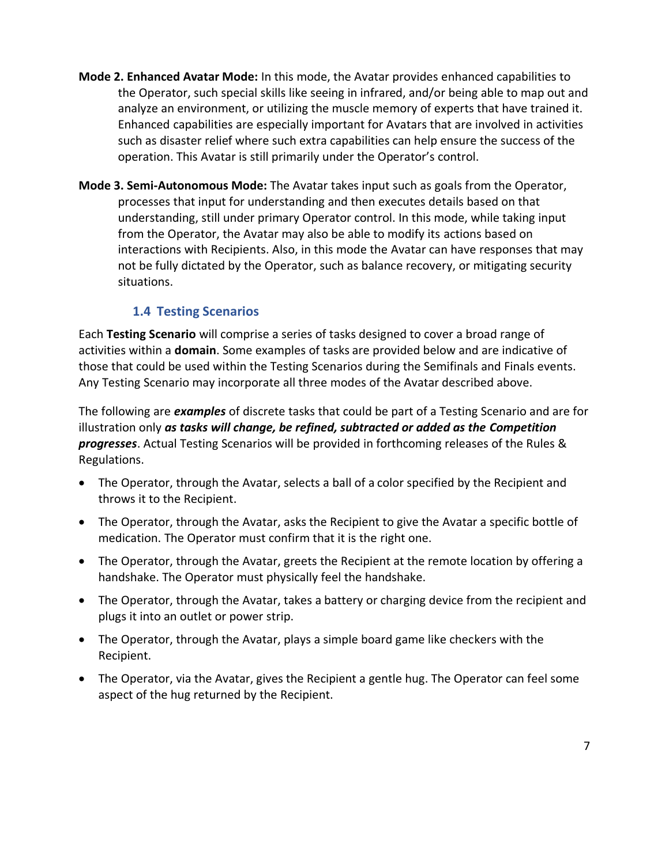- **Mode 2. Enhanced Avatar Mode:** In this mode, the Avatar provides enhanced capabilities to the Operator, such special skills like seeing in infrared, and/or being able to map out and analyze an environment, or utilizing the muscle memory of experts that have trained it. Enhanced capabilities are especially important for Avatars that are involved in activities such as disaster relief where such extra capabilities can help ensure the success of the operation. This Avatar is still primarily under the Operator's control.
- **Mode 3. Semi-Autonomous Mode:** The Avatar takes input such as goals from the Operator, processes that input for understanding and then executes details based on that understanding, still under primary Operator control. In this mode, while taking input from the Operator, the Avatar may also be able to modify its actions based on interactions with Recipients. Also, in this mode the Avatar can have responses that may not be fully dictated by the Operator, such as balance recovery, or mitigating security situations.

#### **1.4 Testing Scenarios**

Each **Testing Scenario** will comprise a series of tasks designed to cover a broad range of activities within a **domain**. Some examples of tasks are provided below and are indicative of those that could be used within the Testing Scenarios during the Semifinals and Finals events. Any Testing Scenario may incorporate all three modes of the Avatar described above.

The following are *examples* of discrete tasks that could be part of a Testing Scenario and are for illustration only *as tasks will change, be refined, subtracted or added as the Competition progresses*. Actual Testing Scenarios will be provided in forthcoming releases of the Rules & Regulations.

- The Operator, through the Avatar, selects a ball of a color specified by the Recipient and throws it to the Recipient.
- The Operator, through the Avatar, asks the Recipient to give the Avatar a specific bottle of medication. The Operator must confirm that it is the right one.
- The Operator, through the Avatar, greets the Recipient at the remote location by offering a handshake. The Operator must physically feel the handshake.
- The Operator, through the Avatar, takes a battery or charging device from the recipient and plugs it into an outlet or power strip.
- The Operator, through the Avatar, plays a simple board game like checkers with the Recipient.
- The Operator, via the Avatar, gives the Recipient a gentle hug. The Operator can feel some aspect of the hug returned by the Recipient.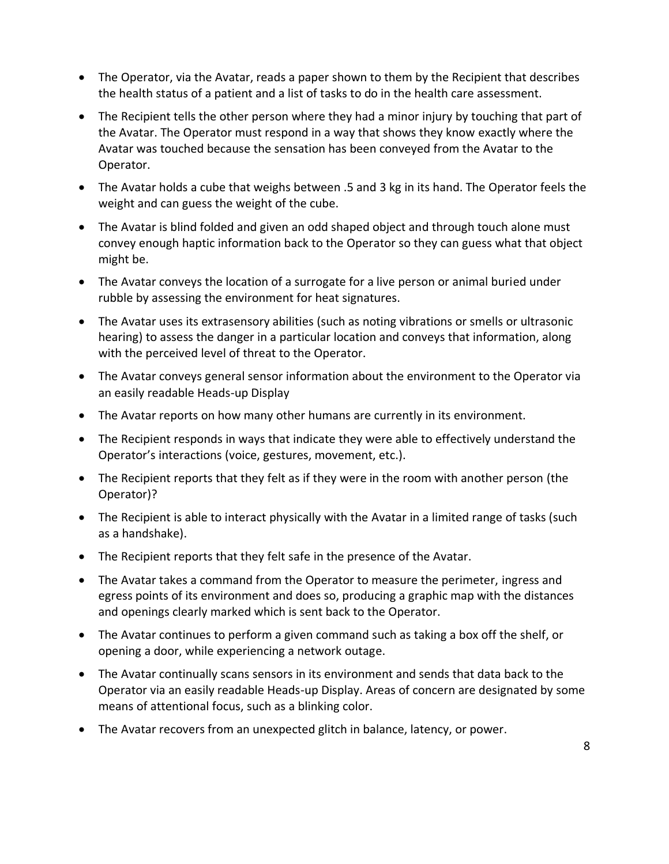- The Operator, via the Avatar, reads a paper shown to them by the Recipient that describes the health status of a patient and a list of tasks to do in the health care assessment.
- The Recipient tells the other person where they had a minor injury by touching that part of the Avatar. The Operator must respond in a way that shows they know exactly where the Avatar was touched because the sensation has been conveyed from the Avatar to the Operator.
- The Avatar holds a cube that weighs between .5 and 3 kg in its hand. The Operator feels the weight and can guess the weight of the cube.
- The Avatar is blind folded and given an odd shaped object and through touch alone must convey enough haptic information back to the Operator so they can guess what that object might be.
- The Avatar conveys the location of a surrogate for a live person or animal buried under rubble by assessing the environment for heat signatures.
- The Avatar uses its extrasensory abilities (such as noting vibrations or smells or ultrasonic hearing) to assess the danger in a particular location and conveys that information, along with the perceived level of threat to the Operator.
- The Avatar conveys general sensor information about the environment to the Operator via an easily readable Heads-up Display
- The Avatar reports on how many other humans are currently in its environment.
- The Recipient responds in ways that indicate they were able to effectively understand the Operator's interactions (voice, gestures, movement, etc.).
- The Recipient reports that they felt as if they were in the room with another person (the Operator)?
- The Recipient is able to interact physically with the Avatar in a limited range of tasks (such as a handshake).
- The Recipient reports that they felt safe in the presence of the Avatar.
- The Avatar takes a command from the Operator to measure the perimeter, ingress and egress points of its environment and does so, producing a graphic map with the distances and openings clearly marked which is sent back to the Operator.
- The Avatar continues to perform a given command such as taking a box off the shelf, or opening a door, while experiencing a network outage.
- The Avatar continually scans sensors in its environment and sends that data back to the Operator via an easily readable Heads-up Display. Areas of concern are designated by some means of attentional focus, such as a blinking color.
- The Avatar recovers from an unexpected glitch in balance, latency, or power.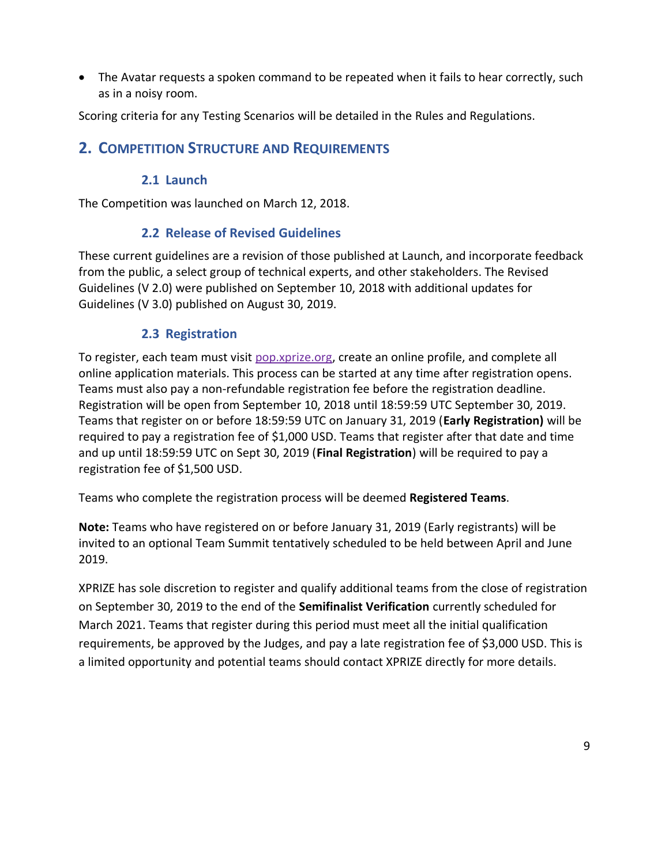• The Avatar requests a spoken command to be repeated when it fails to hear correctly, such as in a noisy room.

Scoring criteria for any Testing Scenarios will be detailed in the Rules and Regulations.

# **2. COMPETITION STRUCTURE AND REQUIREMENTS**

#### **2.1 Launch**

The Competition was launched on March 12, 2018.

#### **2.2 Release of Revised Guidelines**

These current guidelines are a revision of those published at Launch, and incorporate feedback from the public, a select group of technical experts, and other stakeholders. The Revised Guidelines (V 2.0) were published on September 10, 2018 with additional updates for Guidelines (V 3.0) published on August 30, 2019.

#### **2.3 Registration**

To register, each team must visit [pop.xprize.org,](https://pop.xprize.org/) create an online profile, and complete all online application materials. This process can be started at any time after registration opens. Teams must also pay a non-refundable registration fee before the registration deadline. Registration will be open from September 10, 2018 until 18:59:59 UTC September 30, 2019. Teams that register on or before 18:59:59 UTC on January 31, 2019 (**Early Registration)** will be required to pay a registration fee of \$1,000 USD. Teams that register after that date and time and up until 18:59:59 UTC on Sept 30, 2019 (**Final Registration**) will be required to pay a registration fee of \$1,500 USD.

Teams who complete the registration process will be deemed **Registered Teams**.

**Note:** Teams who have registered on or before January 31, 2019 (Early registrants) will be invited to an optional Team Summit tentatively scheduled to be held between April and June 2019.

XPRIZE has sole discretion to register and qualify additional teams from the close of registration on September 30, 2019 to the end of the **Semifinalist Verification** currently scheduled for March 2021. Teams that register during this period must meet all the initial qualification requirements, be approved by the Judges, and pay a late registration fee of \$3,000 USD. This is a limited opportunity and potential teams should contact XPRIZE directly for more details.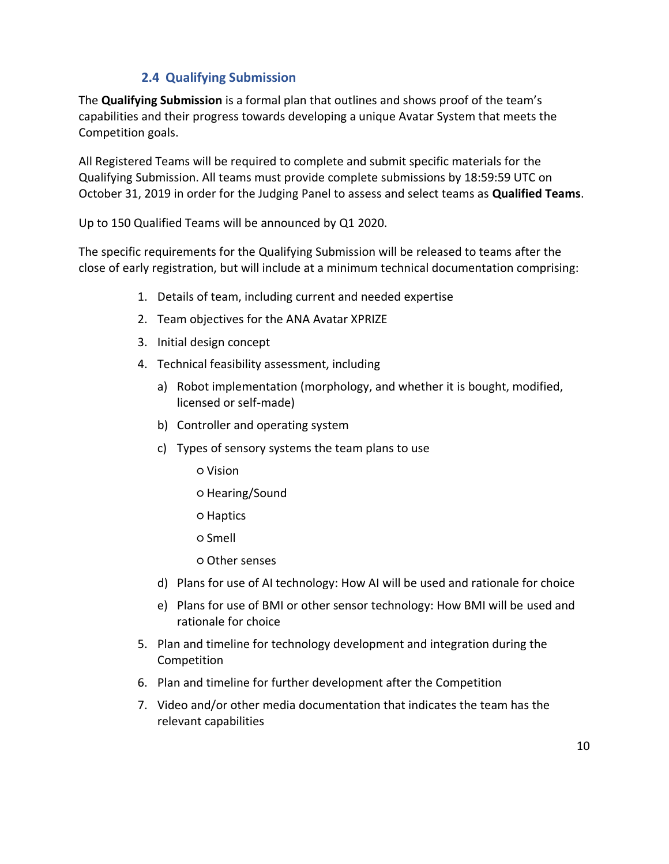#### **2.4 Qualifying Submission**

The **Qualifying Submission** is a formal plan that outlines and shows proof of the team's capabilities and their progress towards developing a unique Avatar System that meets the Competition goals.

All Registered Teams will be required to complete and submit specific materials for the Qualifying Submission. All teams must provide complete submissions by 18:59:59 UTC on October 31, 2019 in order for the Judging Panel to assess and select teams as **Qualified Teams**.

Up to 150 Qualified Teams will be announced by Q1 2020.

The specific requirements for the Qualifying Submission will be released to teams after the close of early registration, but will include at a minimum technical documentation comprising:

- 1. Details of team, including current and needed expertise
- 2. Team objectives for the ANA Avatar XPRIZE
- 3. Initial design concept
- 4. Technical feasibility assessment, including
	- a) Robot implementation (morphology, and whether it is bought, modified, licensed or self-made)
	- b) Controller and operating system
	- c) Types of sensory systems the team plans to use
		- Vision
		- Hearing/Sound
		- Haptics
		- Smell
		- Other senses
	- d) Plans for use of AI technology: How AI will be used and rationale for choice
	- e) Plans for use of BMI or other sensor technology: How BMI will be used and rationale for choice
- 5. Plan and timeline for technology development and integration during the Competition
- 6. Plan and timeline for further development after the Competition
- 7. Video and/or other media documentation that indicates the team has the relevant capabilities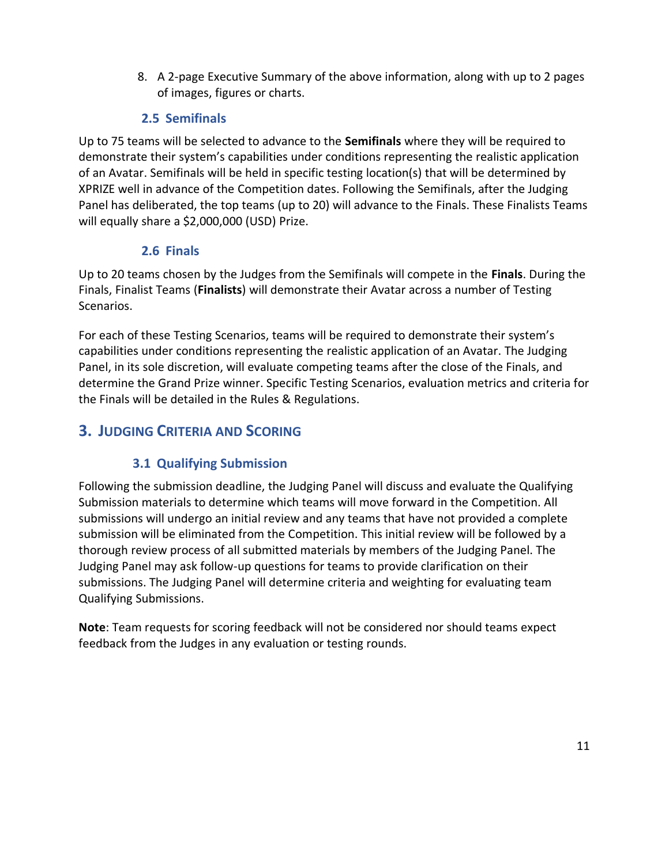8. A 2-page Executive Summary of the above information, along with up to 2 pages of images, figures or charts.

#### **2.5 Semifinals**

Up to 75 teams will be selected to advance to the **Semifinals** where they will be required to demonstrate their system's capabilities under conditions representing the realistic application of an Avatar. Semifinals will be held in specific testing location(s) that will be determined by XPRIZE well in advance of the Competition dates. Following the Semifinals, after the Judging Panel has deliberated, the top teams (up to 20) will advance to the Finals. These Finalists Teams will equally share a \$2,000,000 (USD) Prize.

#### **2.6 Finals**

Up to 20 teams chosen by the Judges from the Semifinals will compete in the **Finals**. During the Finals, Finalist Teams (**Finalists**) will demonstrate their Avatar across a number of Testing Scenarios.

For each of these Testing Scenarios, teams will be required to demonstrate their system's capabilities under conditions representing the realistic application of an Avatar. The Judging Panel, in its sole discretion, will evaluate competing teams after the close of the Finals, and determine the Grand Prize winner. Specific Testing Scenarios, evaluation metrics and criteria for the Finals will be detailed in the Rules & Regulations.

# **3. JUDGING CRITERIA AND SCORING**

# **3.1 Qualifying Submission**

Following the submission deadline, the Judging Panel will discuss and evaluate the Qualifying Submission materials to determine which teams will move forward in the Competition. All submissions will undergo an initial review and any teams that have not provided a complete submission will be eliminated from the Competition. This initial review will be followed by a thorough review process of all submitted materials by members of the Judging Panel. The Judging Panel may ask follow-up questions for teams to provide clarification on their submissions. The Judging Panel will determine criteria and weighting for evaluating team Qualifying Submissions.

**Note**: Team requests for scoring feedback will not be considered nor should teams expect feedback from the Judges in any evaluation or testing rounds.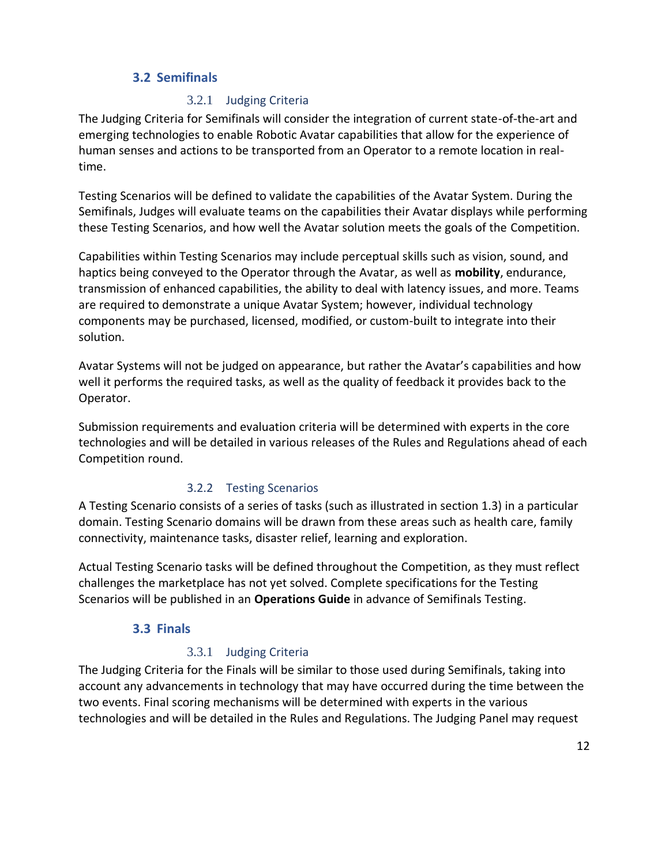#### **3.2 Semifinals**

#### 3.2.1 Judging Criteria

The Judging Criteria for Semifinals will consider the integration of current state-of-the-art and emerging technologies to enable Robotic Avatar capabilities that allow for the experience of human senses and actions to be transported from an Operator to a remote location in realtime.

Testing Scenarios will be defined to validate the capabilities of the Avatar System. During the Semifinals, Judges will evaluate teams on the capabilities their Avatar displays while performing these Testing Scenarios, and how well the Avatar solution meets the goals of the Competition.

Capabilities within Testing Scenarios may include perceptual skills such as vision, sound, and haptics being conveyed to the Operator through the Avatar, as well as **mobility**, endurance, transmission of enhanced capabilities, the ability to deal with latency issues, and more. Teams are required to demonstrate a unique Avatar System; however, individual technology components may be purchased, licensed, modified, or custom-built to integrate into their solution.

Avatar Systems will not be judged on appearance, but rather the Avatar's capabilities and how well it performs the required tasks, as well as the quality of feedback it provides back to the Operator.

Submission requirements and evaluation criteria will be determined with experts in the core technologies and will be detailed in various releases of the Rules and Regulations ahead of each Competition round.

#### 3.2.2 Testing Scenarios

A Testing Scenario consists of a series of tasks (such as illustrated in section 1.3) in a particular domain. Testing Scenario domains will be drawn from these areas such as health care, family connectivity, maintenance tasks, disaster relief, learning and exploration.

Actual Testing Scenario tasks will be defined throughout the Competition, as they must reflect challenges the marketplace has not yet solved. Complete specifications for the Testing Scenarios will be published in an **Operations Guide** in advance of Semifinals Testing.

#### **3.3 Finals**

#### 3.3.1 Judging Criteria

The Judging Criteria for the Finals will be similar to those used during Semifinals, taking into account any advancements in technology that may have occurred during the time between the two events. Final scoring mechanisms will be determined with experts in the various technologies and will be detailed in the Rules and Regulations. The Judging Panel may request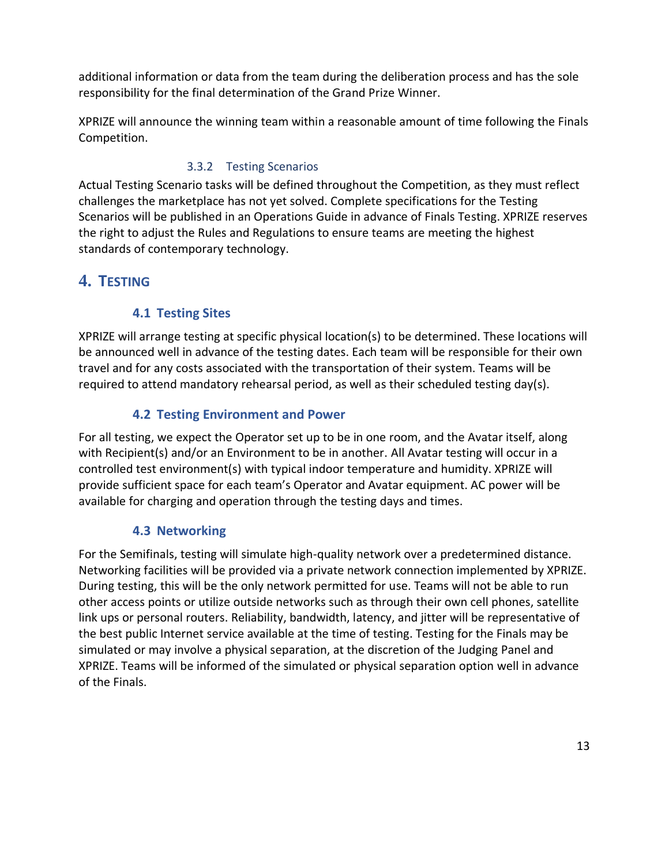additional information or data from the team during the deliberation process and has the sole responsibility for the final determination of the Grand Prize Winner.

XPRIZE will announce the winning team within a reasonable amount of time following the Finals Competition.

#### 3.3.2 Testing Scenarios

Actual Testing Scenario tasks will be defined throughout the Competition, as they must reflect challenges the marketplace has not yet solved. Complete specifications for the Testing Scenarios will be published in an Operations Guide in advance of Finals Testing. XPRIZE reserves the right to adjust the Rules and Regulations to ensure teams are meeting the highest standards of contemporary technology.

# **4. TESTING**

#### **4.1 Testing Sites**

XPRIZE will arrange testing at specific physical location(s) to be determined. These locations will be announced well in advance of the testing dates. Each team will be responsible for their own travel and for any costs associated with the transportation of their system. Teams will be required to attend mandatory rehearsal period, as well as their scheduled testing day(s).

#### **4.2 Testing Environment and Power**

For all testing, we expect the Operator set up to be in one room, and the Avatar itself, along with Recipient(s) and/or an Environment to be in another. All Avatar testing will occur in a controlled test environment(s) with typical indoor temperature and humidity. XPRIZE will provide sufficient space for each team's Operator and Avatar equipment. AC power will be available for charging and operation through the testing days and times.

#### **4.3 Networking**

For the Semifinals, testing will simulate high-quality network over a predetermined distance. Networking facilities will be provided via a private network connection implemented by XPRIZE. During testing, this will be the only network permitted for use. Teams will not be able to run other access points or utilize outside networks such as through their own cell phones, satellite link ups or personal routers. Reliability, bandwidth, latency, and jitter will be representative of the best public Internet service available at the time of testing. Testing for the Finals may be simulated or may involve a physical separation, at the discretion of the Judging Panel and XPRIZE. Teams will be informed of the simulated or physical separation option well in advance of the Finals.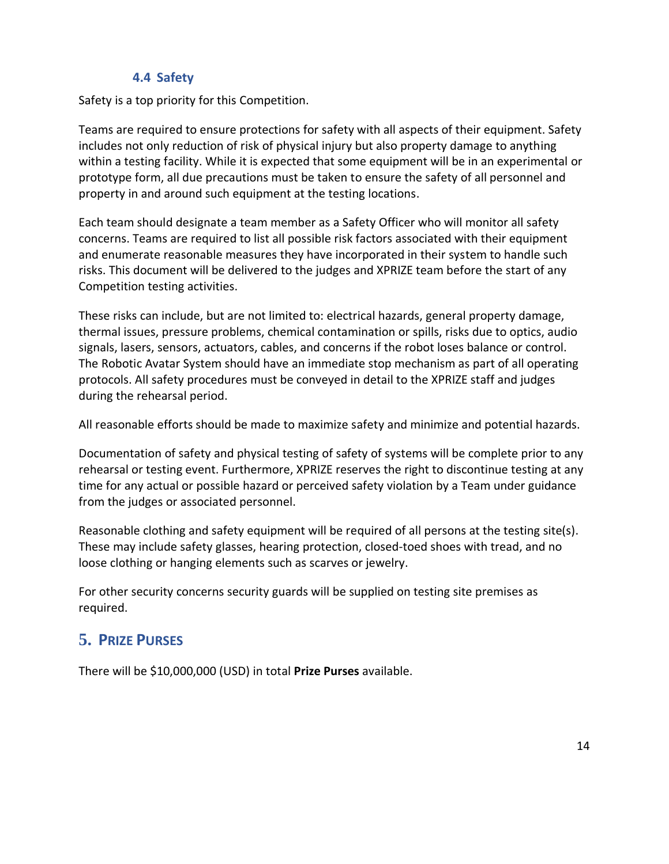#### **4.4 Safety**

Safety is a top priority for this Competition.

Teams are required to ensure protections for safety with all aspects of their equipment. Safety includes not only reduction of risk of physical injury but also property damage to anything within a testing facility. While it is expected that some equipment will be in an experimental or prototype form, all due precautions must be taken to ensure the safety of all personnel and property in and around such equipment at the testing locations.

Each team should designate a team member as a Safety Officer who will monitor all safety concerns. Teams are required to list all possible risk factors associated with their equipment and enumerate reasonable measures they have incorporated in their system to handle such risks. This document will be delivered to the judges and XPRIZE team before the start of any Competition testing activities.

These risks can include, but are not limited to: electrical hazards, general property damage, thermal issues, pressure problems, chemical contamination or spills, risks due to optics, audio signals, lasers, sensors, actuators, cables, and concerns if the robot loses balance or control. The Robotic Avatar System should have an immediate stop mechanism as part of all operating protocols. All safety procedures must be conveyed in detail to the XPRIZE staff and judges during the rehearsal period.

All reasonable efforts should be made to maximize safety and minimize and potential hazards.

Documentation of safety and physical testing of safety of systems will be complete prior to any rehearsal or testing event. Furthermore, XPRIZE reserves the right to discontinue testing at any time for any actual or possible hazard or perceived safety violation by a Team under guidance from the judges or associated personnel.

Reasonable clothing and safety equipment will be required of all persons at the testing site(s). These may include safety glasses, hearing protection, closed-toed shoes with tread, and no loose clothing or hanging elements such as scarves or jewelry.

For other security concerns security guards will be supplied on testing site premises as required.

# **5. PRIZE PURSES**

There will be \$10,000,000 (USD) in total **Prize Purses** available.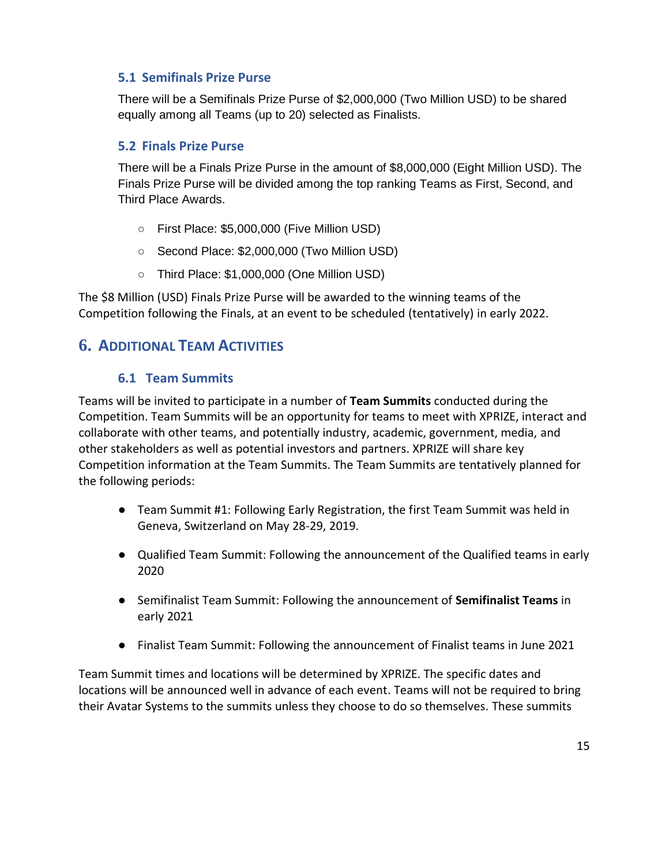#### **5.1 Semifinals Prize Purse**

There will be a Semifinals Prize Purse of \$2,000,000 (Two Million USD) to be shared equally among all Teams (up to 20) selected as Finalists.

#### **5.2 Finals Prize Purse**

There will be a Finals Prize Purse in the amount of \$8,000,000 (Eight Million USD). The Finals Prize Purse will be divided among the top ranking Teams as First, Second, and Third Place Awards.

- First Place: \$5,000,000 (Five Million USD)
- Second Place: \$2,000,000 (Two Million USD)
- Third Place: \$1,000,000 (One Million USD)

The \$8 Million (USD) Finals Prize Purse will be awarded to the winning teams of the Competition following the Finals, at an event to be scheduled (tentatively) in early 2022.

# **6. ADDITIONAL TEAM ACTIVITIES**

#### **6.1 Team Summits**

Teams will be invited to participate in a number of **Team Summits** conducted during the Competition. Team Summits will be an opportunity for teams to meet with XPRIZE, interact and collaborate with other teams, and potentially industry, academic, government, media, and other stakeholders as well as potential investors and partners. XPRIZE will share key Competition information at the Team Summits. The Team Summits are tentatively planned for the following periods:

- Team Summit #1: Following Early Registration, the first Team Summit was held in Geneva, Switzerland on May 28-29, 2019.
- Qualified Team Summit: Following the announcement of the Qualified teams in early 2020
- Semifinalist Team Summit: Following the announcement of **Semifinalist Teams** in early 2021
- Finalist Team Summit: Following the announcement of Finalist teams in June 2021

Team Summit times and locations will be determined by XPRIZE. The specific dates and locations will be announced well in advance of each event. Teams will not be required to bring their Avatar Systems to the summits unless they choose to do so themselves. These summits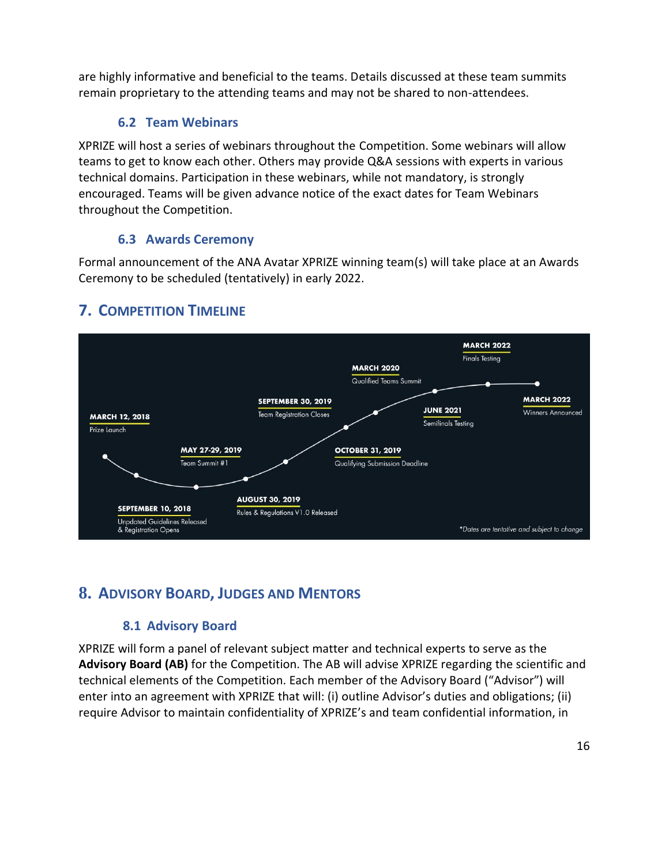are highly informative and beneficial to the teams. Details discussed at these team summits remain proprietary to the attending teams and may not be shared to non-attendees.

#### **6.2 Team Webinars**

XPRIZE will host a series of webinars throughout the Competition. Some webinars will allow teams to get to know each other. Others may provide Q&A sessions with experts in various technical domains. Participation in these webinars, while not mandatory, is strongly encouraged. Teams will be given advance notice of the exact dates for Team Webinars throughout the Competition.

#### **6.3 Awards Ceremony**

Formal announcement of the ANA Avatar XPRIZE winning team(s) will take place at an Awards Ceremony to be scheduled (tentatively) in early 2022.

#### **MARCH 2022** Finals Testing **MARCH 2020** Qualified Teams Summit **SEPTEMBER 30, 2019 MARCH 2022 JUNE 2021 Winners Announced Team Registration Closes MARCH 12, 2018** Semifinals Testing Prize Launch MAY 27-29, 2019 **OCTOBER 31, 2019** Team Summit #1 **Qualifying Submission Deadline AUGUST 30, 2019 SEPTEMBER 10, 2018** Rules & Regulations V1.0 Released **Unpdated Guidelines Released** \*Dates are tentative and subject to change & Registration Opens

# **7. COMPETITION TIMELINE**

# **8. ADVISORY BOARD, JUDGES AND MENTORS**

# **8.1 Advisory Board**

XPRIZE will form a panel of relevant subject matter and technical experts to serve as the **Advisory Board (AB)** for the Competition. The AB will advise XPRIZE regarding the scientific and technical elements of the Competition. Each member of the Advisory Board ("Advisor") will enter into an agreement with XPRIZE that will: (i) outline Advisor's duties and obligations; (ii) require Advisor to maintain confidentiality of XPRIZE's and team confidential information, in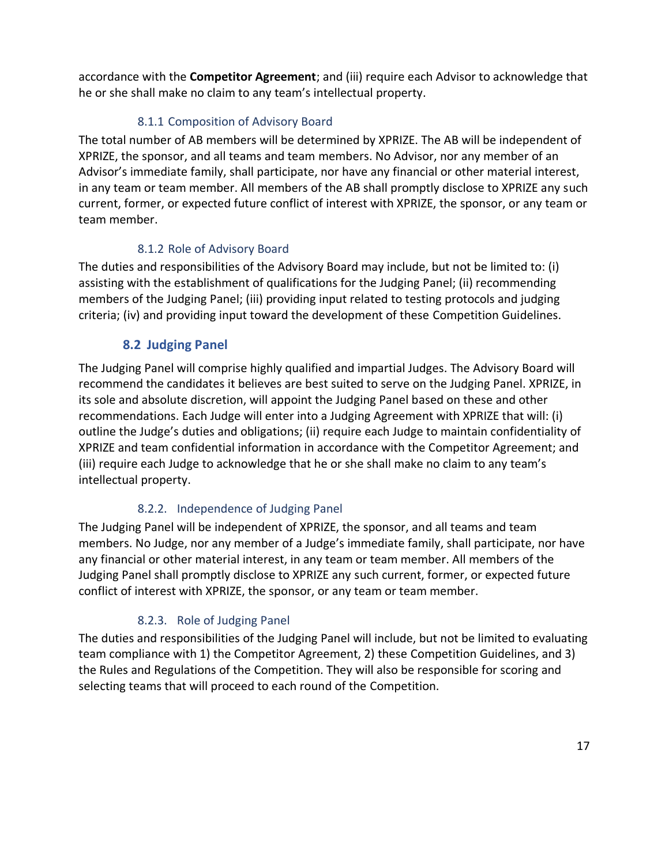accordance with the **Competitor Agreement**; and (iii) require each Advisor to acknowledge that he or she shall make no claim to any team's intellectual property.

#### 8.1.1 Composition of Advisory Board

The total number of AB members will be determined by XPRIZE. The AB will be independent of XPRIZE, the sponsor, and all teams and team members. No Advisor, nor any member of an Advisor's immediate family, shall participate, nor have any financial or other material interest, in any team or team member. All members of the AB shall promptly disclose to XPRIZE any such current, former, or expected future conflict of interest with XPRIZE, the sponsor, or any team or team member.

#### 8.1.2 Role of Advisory Board

The duties and responsibilities of the Advisory Board may include, but not be limited to: (i) assisting with the establishment of qualifications for the Judging Panel; (ii) recommending members of the Judging Panel; (iii) providing input related to testing protocols and judging criteria; (iv) and providing input toward the development of these Competition Guidelines.

#### **8.2 Judging Panel**

The Judging Panel will comprise highly qualified and impartial Judges. The Advisory Board will recommend the candidates it believes are best suited to serve on the Judging Panel. XPRIZE, in its sole and absolute discretion, will appoint the Judging Panel based on these and other recommendations. Each Judge will enter into a Judging Agreement with XPRIZE that will: (i) outline the Judge's duties and obligations; (ii) require each Judge to maintain confidentiality of XPRIZE and team confidential information in accordance with the Competitor Agreement; and (iii) require each Judge to acknowledge that he or she shall make no claim to any team's intellectual property.

#### 8.2.2. Independence of Judging Panel

The Judging Panel will be independent of XPRIZE, the sponsor, and all teams and team members. No Judge, nor any member of a Judge's immediate family, shall participate, nor have any financial or other material interest, in any team or team member. All members of the Judging Panel shall promptly disclose to XPRIZE any such current, former, or expected future conflict of interest with XPRIZE, the sponsor, or any team or team member.

#### 8.2.3. Role of Judging Panel

The duties and responsibilities of the Judging Panel will include, but not be limited to evaluating team compliance with 1) the Competitor Agreement, 2) these Competition Guidelines, and 3) the Rules and Regulations of the Competition. They will also be responsible for scoring and selecting teams that will proceed to each round of the Competition.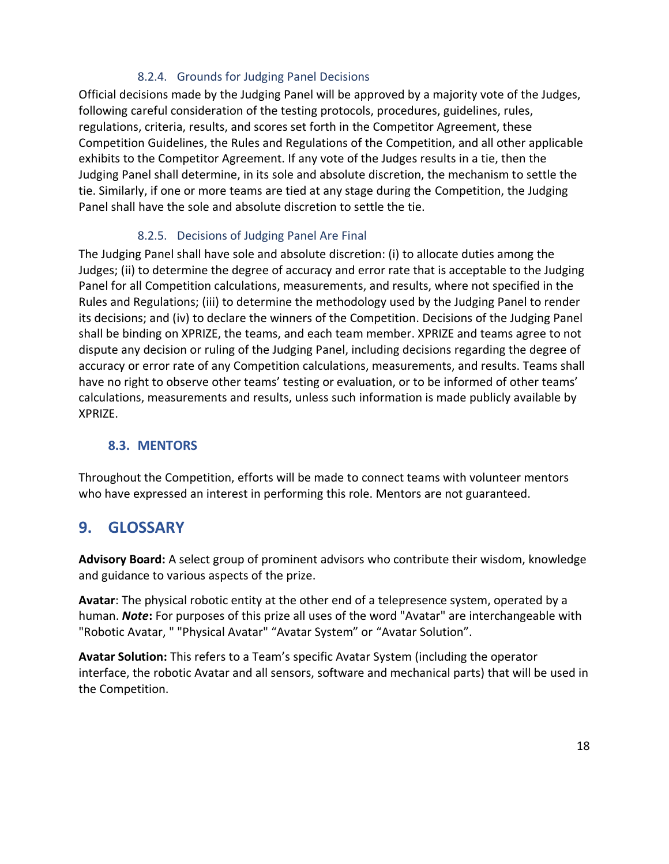#### 8.2.4. Grounds for Judging Panel Decisions

Official decisions made by the Judging Panel will be approved by a majority vote of the Judges, following careful consideration of the testing protocols, procedures, guidelines, rules, regulations, criteria, results, and scores set forth in the Competitor Agreement, these Competition Guidelines, the Rules and Regulations of the Competition, and all other applicable exhibits to the Competitor Agreement. If any vote of the Judges results in a tie, then the Judging Panel shall determine, in its sole and absolute discretion, the mechanism to settle the tie. Similarly, if one or more teams are tied at any stage during the Competition, the Judging Panel shall have the sole and absolute discretion to settle the tie.

#### 8.2.5. Decisions of Judging Panel Are Final

The Judging Panel shall have sole and absolute discretion: (i) to allocate duties among the Judges; (ii) to determine the degree of accuracy and error rate that is acceptable to the Judging Panel for all Competition calculations, measurements, and results, where not specified in the Rules and Regulations; (iii) to determine the methodology used by the Judging Panel to render its decisions; and (iv) to declare the winners of the Competition. Decisions of the Judging Panel shall be binding on XPRIZE, the teams, and each team member. XPRIZE and teams agree to not dispute any decision or ruling of the Judging Panel, including decisions regarding the degree of accuracy or error rate of any Competition calculations, measurements, and results. Teams shall have no right to observe other teams' testing or evaluation, or to be informed of other teams' calculations, measurements and results, unless such information is made publicly available by XPRIZE.

#### **8.3. MENTORS**

Throughout the Competition, efforts will be made to connect teams with volunteer mentors who have expressed an interest in performing this role. Mentors are not guaranteed.

# **9. GLOSSARY**

**Advisory Board:** A select group of prominent advisors who contribute their wisdom, knowledge and guidance to various aspects of the prize.

**Avatar**: The physical robotic entity at the other end of a telepresence system, operated by a human. *Note***:** For purposes of this prize all uses of the word "Avatar" are interchangeable with "Robotic Avatar, " "Physical Avatar" "Avatar System" or "Avatar Solution".

**Avatar Solution:** This refers to a Team's specific Avatar System (including the operator interface, the robotic Avatar and all sensors, software and mechanical parts) that will be used in the Competition.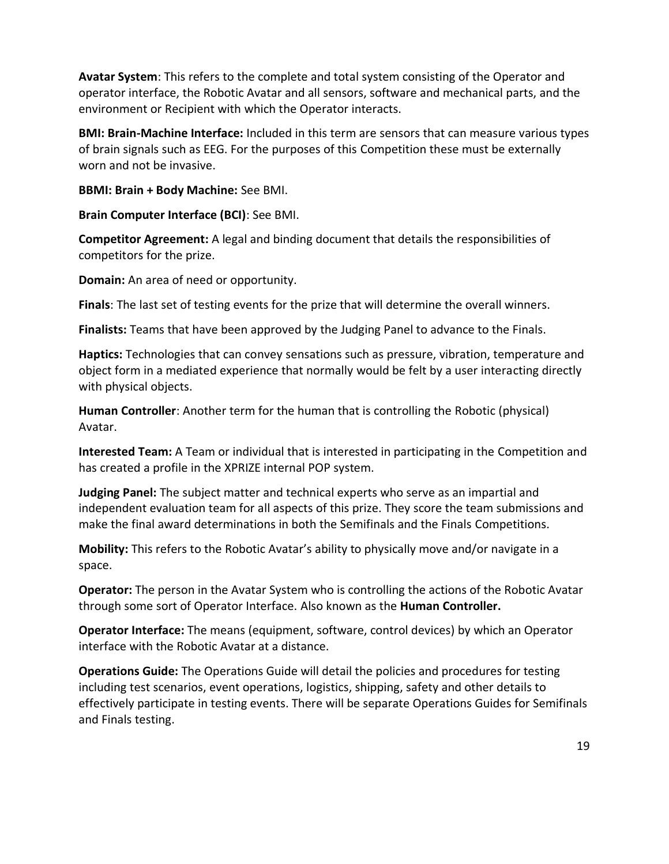**Avatar System**: This refers to the complete and total system consisting of the Operator and operator interface, the Robotic Avatar and all sensors, software and mechanical parts, and the environment or Recipient with which the Operator interacts.

**BMI: Brain-Machine Interface:** Included in this term are sensors that can measure various types of brain signals such as EEG. For the purposes of this Competition these must be externally worn and not be invasive.

**BBMI: Brain + Body Machine:** See BMI.

**Brain Computer Interface (BCI)**: See BMI.

**Competitor Agreement:** A legal and binding document that details the responsibilities of competitors for the prize.

**Domain:** An area of need or opportunity.

**Finals**: The last set of testing events for the prize that will determine the overall winners.

**Finalists:** Teams that have been approved by the Judging Panel to advance to the Finals.

**Haptics:** Technologies that can convey sensations such as pressure, vibration, temperature and object form in a mediated experience that normally would be felt by a user interacting directly with physical objects.

**Human Controller**: Another term for the human that is controlling the Robotic (physical) Avatar.

**Interested Team:** A Team or individual that is interested in participating in the Competition and has created a profile in the XPRIZE internal POP system.

**Judging Panel:** The subject matter and technical experts who serve as an impartial and independent evaluation team for all aspects of this prize. They score the team submissions and make the final award determinations in both the Semifinals and the Finals Competitions.

**Mobility:** This refers to the Robotic Avatar's ability to physically move and/or navigate in a space.

**Operator:** The person in the Avatar System who is controlling the actions of the Robotic Avatar through some sort of Operator Interface. Also known as the **Human Controller.**

**Operator Interface:** The means (equipment, software, control devices) by which an Operator interface with the Robotic Avatar at a distance.

**Operations Guide:** The Operations Guide will detail the policies and procedures for testing including test scenarios, event operations, logistics, shipping, safety and other details to effectively participate in testing events. There will be separate Operations Guides for Semifinals and Finals testing.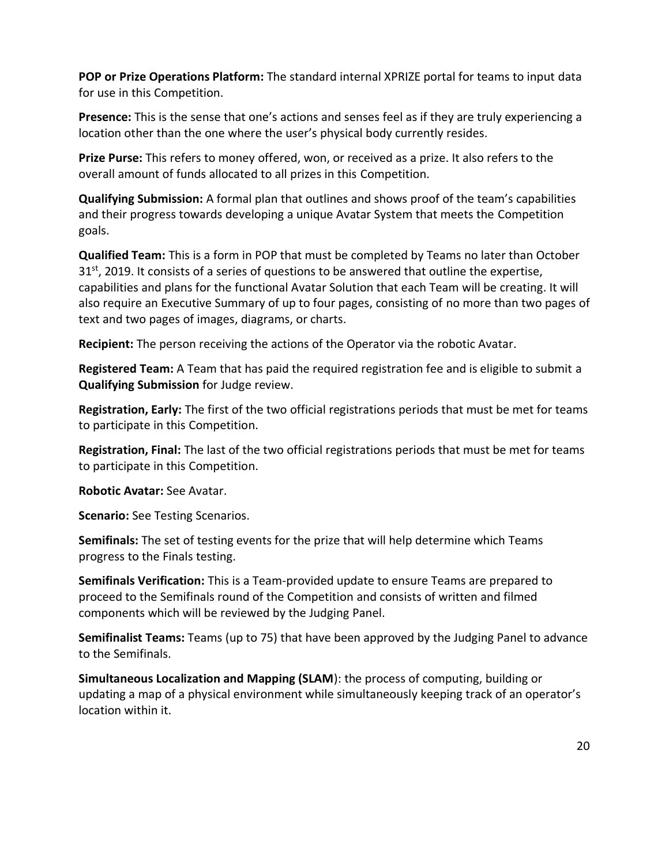**POP or Prize Operations Platform:** The standard internal XPRIZE portal for teams to input data for use in this Competition.

**Presence:** This is the sense that one's actions and senses feel as if they are truly experiencing a location other than the one where the user's physical body currently resides.

**Prize Purse:** This refers to money offered, won, or received as a prize. It also refers to the overall amount of funds allocated to all prizes in this Competition.

**Qualifying Submission:** A formal plan that outlines and shows proof of the team's capabilities and their progress towards developing a unique Avatar System that meets the Competition goals.

**Qualified Team:** This is a form in POP that must be completed by Teams no later than October  $31<sup>st</sup>$ , 2019. It consists of a series of questions to be answered that outline the expertise, capabilities and plans for the functional Avatar Solution that each Team will be creating. It will also require an Executive Summary of up to four pages, consisting of no more than two pages of text and two pages of images, diagrams, or charts.

**Recipient:** The person receiving the actions of the Operator via the robotic Avatar.

**Registered Team:** A Team that has paid the required registration fee and is eligible to submit a **Qualifying Submission** for Judge review.

**Registration, Early:** The first of the two official registrations periods that must be met for teams to participate in this Competition.

**Registration, Final:** The last of the two official registrations periods that must be met for teams to participate in this Competition.

**Robotic Avatar:** See Avatar.

**Scenario:** See Testing Scenarios.

**Semifinals:** The set of testing events for the prize that will help determine which Teams progress to the Finals testing.

**Semifinals Verification:** This is a Team-provided update to ensure Teams are prepared to proceed to the Semifinals round of the Competition and consists of written and filmed components which will be reviewed by the Judging Panel.

**Semifinalist Teams:** Teams (up to 75) that have been approved by the Judging Panel to advance to the Semifinals.

**Simultaneous Localization and Mapping (SLAM**): the process of computing, building or updating a map of a physical environment while simultaneously keeping track of an operator's location within it.